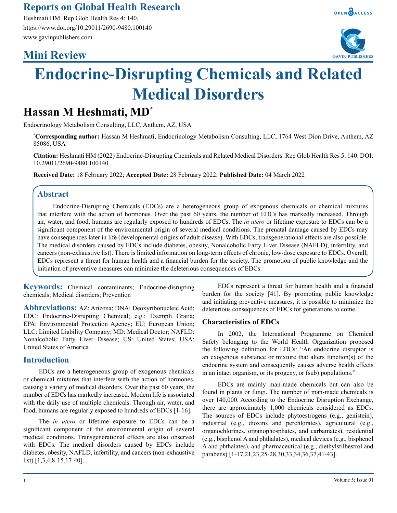# **Reports on Global Health Research**

Heshmati HM. Rep Glob Health Res 4: 140. https://www.doi.org/10.29011/2690-9480.100140 www.gavinpublishers.com

# **Mini Review**





# **Endocrine-Disrupting Chemicals and Related Medical Disorders**

# **Hassan M Heshmati, MD\***

Endocrinology Metabolism Consulting, LLC, Anthem, AZ, USA

**\* Corresponding author:** Hassan M Heshmati, Endocrinology Metabolism Consulting, LLC, 1764 West Dion Drive, Anthem, AZ 85086, USA

**Citation:** Heshmati HM (2022) Endocrine-Disrupting Chemicals and Related Medical Disorders. Rep Glob Health Res 5: 140. DOI: 10.29011/2690-9480.100140

**Received Date:** 18 February 2022; **Accepted Date:** 28 February 2022; **Published Date:** 04 March 2022

## **Abstract**

Endocrine-Disrupting Chemicals (EDCs) are a heterogeneous group of exogenous chemicals or chemical mixtures that interfere with the action of hormones. Over the past 60 years, the number of EDCs has markedly increased. Through air, water, and food, humans are regularly exposed to hundreds of EDCs. The *in utero* or lifetime exposure to EDCs can be a significant component of the environmental origin of several medical conditions. The prenatal damage caused by EDCs may have consequences later in life (developmental origins of adult disease). With EDCs, transgenerational effects are also possible. The medical disorders caused by EDCs include diabetes, obesity, Nonalcoholic Fatty Liver Disease (NAFLD), infertility, and cancers (non-exhaustive list). There is limited information on long-term effects of chronic, low-dose exposure to EDCs. Overall, EDCs represent a threat for human health and a financial burden for the society. The promotion of public knowledge and the initiation of preventive measures can minimize the deleterious consequences of EDCs.

**Keywords:** Chemical contaminants; Endocrine-disrupting chemicals; Medical disorders; Prevention

**Abbreviations:** AZ: Arizona; DNA: Deoxyribonucleic Acid; EDC: Endocrine-Disrupting Chemical; e.g.: Exempli Gratia; EPA: Environmental Protection Agency; EU: European Union; LLC: Limited Liability Company; MD: Medical Doctor; NAFLD: Nonalcoholic Fatty Liver Disease; US: United States; USA: United States of America

# **Introduction**

EDCs are a heterogeneous group of exogenous chemicals or chemical mixtures that interfere with the action of hormones, causing a variety of medical disorders. Over the past 60 years, the number of EDCs has markedly increased. Modern life is associated with the daily use of multiple chemicals. Through air, water, and food, humans are regularly exposed to hundreds of EDCs [1-16].

The *in utero* or lifetime exposure to EDCs can be a significant component of the environmental origin of several medical conditions. Transgenerational effects are also observed with EDCs. The medical disorders caused by EDCs include diabetes, obesity, NAFLD, infertility, and cancers (non-exhaustive list) [1,3,4,8-15,17-40].

EDCs represent a threat for human health and a financial burden for the society [41]. By promoting public knowledge and initiating preventive measures, it is possible to minimize the deleterious consequences of EDCs for generations to come.

#### **Characteristics of EDCs**

In 2002, the International Programme on Chemical Safety belonging to the World Health Organization proposed the following definition for EDCs: "An endocrine disruptor is an exogenous substance or mixture that alters function(s) of the endocrine system and consequently causes adverse health effects in an intact organism, or its progeny, or (sub) populations."

EDCs are mainly man-made chemicals but can also be found in plants or fungi. The number of man-made chemicals is over 140,000. According to the Endocrine Disruption Exchange, there are approximately 1,000 chemicals considered as EDCs. The sources of EDCs include phytoestrogens (e.g., genistein), industrial (e.g., dioxins and perchlorates), agricultural (e.g., organochlorines, organophosphates, and carbamates), residential (e.g., bisphenol A and phthalates), medical devices (e.g., bisphenol A and phthalates), and pharmaceutical (e.g., diethylstilbestrol and parabens) [1-17,21,23,25-28,30,33,34,36,37,41-43].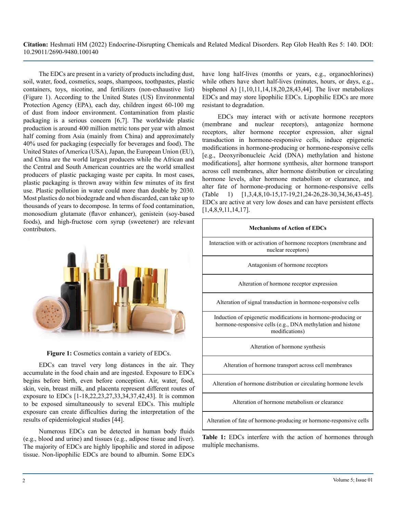The EDCs are present in a variety of products including dust, soil, water, food, cosmetics, soaps, shampoos, toothpastes, plastic containers, toys, nicotine, and fertilizers (non-exhaustive list) (Figure 1). According to the United States (US) Environmental Protection Agency (EPA), each day, children ingest 60-100 mg of dust from indoor environment. Contamination from plastic packaging is a serious concern [6,7]. The worldwide plastic production is around 400 million metric tons per year with almost half coming from Asia (mainly from China) and approximately 40% used for packaging (especially for beverages and food). The United States of America (USA), Japan, the European Union (EU), and China are the world largest producers while the African and the Central and South American countries are the world smallest producers of plastic packaging waste per capita. In most cases, plastic packaging is thrown away within few minutes of its first use. Plastic pollution in water could more than double by 2030. Most plastics do not biodegrade and when discarded, can take up to thousands of years to decompose. In terms of food contamination, monosodium glutamate (flavor enhancer), genistein (soy-based foods), and high-fructose corn syrup (sweetener) are relevant contributors.





EDCs can travel very long distances in the air. They accumulate in the food chain and are ingested. Exposure to EDCs begins before birth, even before conception. Air, water, food, skin, vein, breast milk, and placenta represent different routes of exposure to EDCs [1-18,22,23,27,33,34,37,42,43]. It is common to be exposed simultaneously to several EDCs. This multiple exposure can create difficulties during the interpretation of the results of epidemiological studies [44].

Numerous EDCs can be detected in human body fluids (e.g., blood and urine) and tissues (e.g., adipose tissue and liver). The majority of EDCs are highly lipophilic and stored in adipose tissue. Non-lipophilic EDCs are bound to albumin. Some EDCs

have long half-lives (months or years, e.g., organochlorines) while others have short half-lives (minutes, hours, or days, e.g., bisphenol A) [1,10,11,14,18,20,28,43,44]. The liver metabolizes EDCs and may store lipophilic EDCs. Lipophilic EDCs are more resistant to degradation.

EDCs may interact with or activate hormone receptors (membrane and nuclear receptors), antagonize hormone receptors, alter hormone receptor expression, alter signal transduction in hormone-responsive cells, induce epigenetic modifications in hormone-producing or hormone-responsive cells [e.g., Deoxyribonucleic Acid (DNA) methylation and histone modifications], alter hormone synthesis, alter hormone transport across cell membranes, alter hormone distribution or circulating hormone levels, alter hormone metabolism or clearance, and alter fate of hormone-producing or hormone-responsive cells (Table 1) [1,3,4,8,10-15,17-19,21,24-26,28-30,34,36,43-45]. EDCs are active at very low doses and can have persistent effects [1,4,8,9,11,14,17].

| <b>Mechanisms of Action of EDCs</b>                                                                                                            |
|------------------------------------------------------------------------------------------------------------------------------------------------|
| Interaction with or activation of hormone receptors (membrane and<br>nuclear receptors)                                                        |
| Antagonism of hormone receptors                                                                                                                |
| Alteration of hormone receptor expression                                                                                                      |
| Alteration of signal transduction in hormone-responsive cells                                                                                  |
| Induction of epigenetic modifications in hormone-producing or<br>hormone-responsive cells (e.g., DNA methylation and histone<br>modifications) |
| Alteration of hormone synthesis                                                                                                                |
| Alteration of hormone transport across cell membranes                                                                                          |
| Alteration of hormone distribution or circulating hormone levels                                                                               |
| Alteration of hormone metabolism or clearance                                                                                                  |
| Alteration of fate of hormone-producing or hormone-responsive cells                                                                            |

**Table 1:** EDCs interfere with the action of hormones through multiple mechanisms.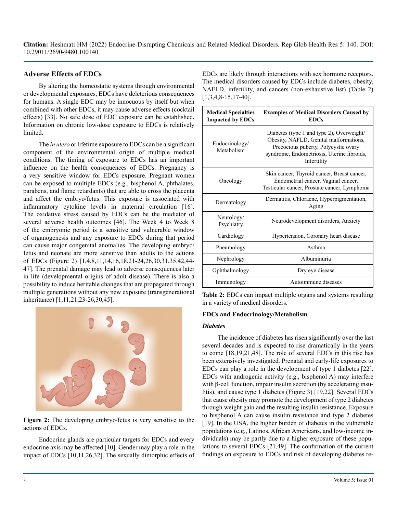## **Adverse Effects of EDCs**

By altering the homeostatic systems through environmental or developmental exposures, EDCs have deleterious consequences for humans. A single EDC may be innocuous by itself but when combined with other EDCs, it may cause adverse effects (cocktail effects) [33]. No safe dose of EDC exposure can be established. Information on chronic low-dose exposure to EDCs is relatively limited.

The *in utero* or lifetime exposure to EDCs can be a significant component of the environmental origin of multiple medical conditions. The timing of exposure to EDCs has an important influence on the health consequences of EDCs. Pregnancy is a very sensitive window for EDCs exposure. Pregnant women can be exposed to multiple EDCs (e.g., bisphenol A, phthalates, parabens, and flame retardants) that are able to cross the placenta and affect the embryo/fetus. This exposure is associated with inflammatory cytokine levels in maternal circulation [16]. The oxidative stress caused by EDCs can be the mediator of several adverse health outcomes [46]. The Week 4 to Week 8 of the embryonic period is a sensitive and vulnerable window of organogenesis and any exposure to EDCs during that period can cause major congenital anomalies. The developing embryo/ fetus and neonate are more sensitive than adults to the actions of EDCs (Figure 2) [1,4,8,11,14,16,18,21-24,26,30,31,35,42,44- 47]. The prenatal damage may lead to adverse consequences later in life (developmental origins of adult disease). There is also a possibility to induce heritable changes that are propagated through multiple generations without any new exposure (transgenerational inheritance) [1,11,21,23-26,30,45].



**Figure 2:** The developing embryo/fetus is very sensitive to the actions of EDCs.

Endocrine glands are particular targets for EDCs and every endocrine axis may be affected [10]. Gender may play a role in the impact of EDCs [10,11,26,32]. The sexually dimorphic effects of

EDCs are likely through interactions with sex hormone receptors. The medical disorders caused by EDCs include diabetes, obesity, NAFLD, infertility, and cancers (non-exhaustive list) (Table 2) [1,3,4,8-15,17-40].

| <b>Medical Specialties</b><br><b>Impacted by EDCs</b> | <b>Examples of Medical Disorders Caused by</b><br><b>EDCs</b>                                                                                                                            |
|-------------------------------------------------------|------------------------------------------------------------------------------------------------------------------------------------------------------------------------------------------|
| Endocrinology/<br>Metabolism                          | Diabetes (type 1 and type 2), Overweight/<br>Obesity, NAFLD, Genital malformations,<br>Precocious puberty, Polycystic ovary<br>syndrome, Endometriosis, Uterine fibroids,<br>Infertility |
| Oncology                                              | Skin cancer, Thyroid cancer, Breast cancer,<br>Endometrial cancer, Vaginal cancer,<br>Testicular cancer, Prostate cancer, Lymphoma                                                       |
| Dermatology                                           | Dermatitis, Chloracne, Hyperpigmentation,<br>Aging                                                                                                                                       |
| Neurology/<br>Psychiatry                              | Neurodevelopment disorders, Anxiety                                                                                                                                                      |
| Cardiology                                            | Hypertension, Coronary heart disease                                                                                                                                                     |
| Pneumology                                            | Asthma                                                                                                                                                                                   |
| Nephrology                                            | Albuminuria                                                                                                                                                                              |
| Ophthalmology                                         | Dry eye disease                                                                                                                                                                          |
| Immunology                                            | Autoimmune diseases                                                                                                                                                                      |

**Table 2:** EDCs can impact multiple organs and systems resulting in a variety of medical disorders.

#### **EDCs and Endocrinology/Metabolism**

#### *Diabetes*

The incidence of diabetes has risen significantly over the last several decades and is expected to rise dramatically in the years to come [18,19,21,48]. The role of several EDCs in this rise has been extensively investigated. Prenatal and early-life exposures to EDCs can play a role in the development of type 1 diabetes [22]. EDCs with androgenic activity (e.g., bisphenol A) may interfere with β-cell function, impair insulin secretion (by accelerating insulitis), and cause type 1 diabetes (Figure 3) [19,22]. Several EDCs that cause obesity may promote the development of type 2 diabetes through weight gain and the resulting insulin resistance. Exposure to bisphenol A can cause insulin resistance and type 2 diabetes [19]. In the USA, the higher burden of diabetes in the vulnerable populations (e.g., Latinos, African Americans, and low-income individuals) may be partly due to a higher exposure of these populations to several EDCs [21,49]. The confirmation of the current findings on exposure to EDCs and risk of developing diabetes re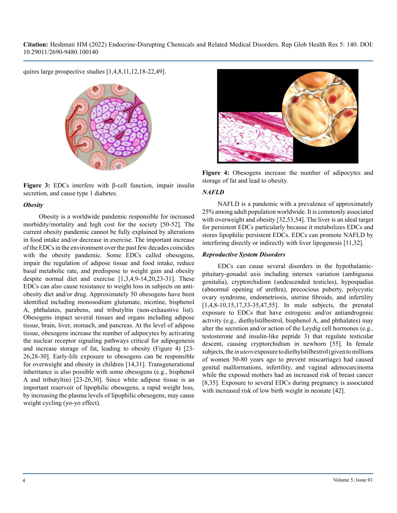quires large prospective studies [1,4,8,11,12,18-22,49].



**Figure 3:** EDCs interfere with β-cell function, impair insulin secretion, and cause type 1 diabetes.

#### *Obesity*

Obesity is a worldwide pandemic responsible for increased morbidity/mortality and high cost for the society [50-52]. The current obesity pandemic cannot be fully explained by alterations in food intake and/or decrease in exercise. The important increase of the EDCs in the environment over the past few decades coincides with the obesity pandemic. Some EDCs called obesogens, impair the regulation of adipose tissue and food intake, reduce basal metabolic rate, and predispose to weight gain and obesity despite normal diet and exercise [1,3,4,9-14,20,23-31]. These EDCs can also cause resistance to weight loss in subjects on antiobesity diet and/or drug. Approximately 50 obesogens have been identified including monosodium glutamate, nicotine, bisphenol A, phthalates, parabens, and tributyltin (non-exhaustive list). Obesogens impact several tissues and organs including adipose tissue, brain, liver, stomach, and pancreas. At the level of adipose tissue, obesogens increase the number of adipocytes by activating the nuclear receptor signaling pathways critical for adipogenesis and increase storage of fat, leading to obesity (Figure 4) [23- 26,28-30]. Early-life exposure to obesogens can be responsible for overweight and obesity in children [14,31]. Transgenerational inheritance is also possible with some obesogens (e.g., bisphenol A and tributyltin) [23-26,30]. Since white adipose tissue is an important reservoir of lipophilic obesogens, a rapid weight loss, by increasing the plasma levels of lipophilic obesogens, may cause weight cycling (yo-yo effect).



**Figure 4:** Obesogens increase the number of adipocytes and storage of fat and lead to obesity.

#### *NAFLD*

NAFLD is a pandemic with a prevalence of approximately 25% among adult population worldwide. It is commonly associated with overweight and obesity [32,53,54]. The liver is an ideal target for persistent EDCs particularly because it metabolizes EDCs and stores lipophilic persistent EDCs. EDCs can promote NAFLD by interfering directly or indirectly with liver lipogenesis [11,32].

#### *Reproductive System Disorders*

EDCs can cause several disorders in the hypothalamicpituitary-gonadal axis including intersex variation (ambiguous genitalia), cryptorchidism (undescended testicles), hypospadias (abnormal opening of urethra), precocious puberty, polycystic ovary syndrome, endometriosis, uterine fibroids, and infertility [1,4,8-10,15,17,33-35,47,55]. In male subjects, the prenatal exposure to EDCs that have estrogenic and/or antiandrogenic activity (e.g., diethylstilbestrol, bisphenol A, and phthalates) may alter the secretion and/or action of the Leydig cell hormones (e.g., testosterone and insulin-like peptide 3) that regulate testicular descent, causing cryptorchidism in newborn [55]. In female subjects, the *in utero* exposure to diethylstilbestrol (given to millions of women 50-80 years ago to prevent miscarriage) had caused genital malformations, infertility, and vaginal adenocarcinoma while the exposed mothers had an increased risk of breast cancer [8,35]. Exposure to several EDCs during pregnancy is associated with increased risk of low birth weight in neonate [42].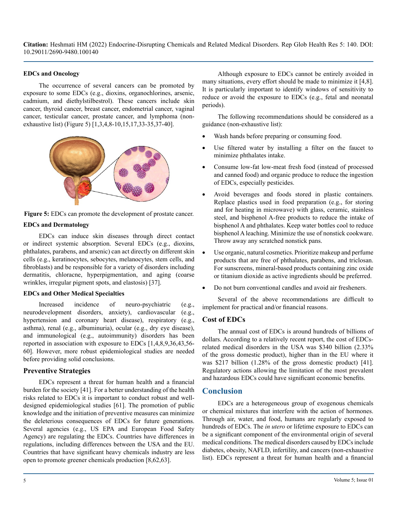#### **EDCs and Oncology**

The occurrence of several cancers can be promoted by exposure to some EDCs (e.g., dioxins, organochlorines, arsenic, cadmium, and diethylstilbestrol). These cancers include skin cancer, thyroid cancer, breast cancer, endometrial cancer, vaginal cancer, testicular cancer, prostate cancer, and lymphoma (nonexhaustive list) (Figure 5) [1,3,4,8-10,15,17,33-35,37-40].



**Figure 5:** EDCs can promote the development of prostate cancer.

#### **EDCs and Dermatology**

EDCs can induce skin diseases through direct contact or indirect systemic absorption. Several EDCs (e.g., dioxins, phthalates, parabens, and arsenic) can act directly on different skin cells (e.g., keratinocytes, sebocytes, melanocytes, stem cells, and fibroblasts) and be responsible for a variety of disorders including dermatitis, chloracne, hyperpigmentation, and aging (coarse wrinkles, irregular pigment spots, and elastosis) [37].

#### **EDCs and Other Medical Specialties**

Increased incidence of neuro-psychiatric (e.g., neurodevelopment disorders, anxiety), cardiovascular (e.g., hypertension and coronary heart disease), respiratory (e.g., asthma), renal (e.g., albuminuria), ocular (e.g., dry eye disease), and immunological (e.g., autoimmunity) disorders has been reported in association with exposure to EDCs [1,4,8,9,36,43,56- 60]. However, more robust epidemiological studies are needed before providing solid conclusions.

## **Preventive Strategies**

EDCs represent a threat for human health and a financial burden for the society [41]. For a better understanding of the health risks related to EDCs it is important to conduct robust and welldesigned epidemiological studies [61]. The promotion of public knowledge and the initiation of preventive measures can minimize the deleterious consequences of EDCs for future generations. Several agencies (e.g., US EPA and European Food Safety Agency) are regulating the EDCs. Countries have differences in regulations, including differences between the USA and the EU. Countries that have significant heavy chemicals industry are less open to promote greener chemicals production [8,62,63].

Although exposure to EDCs cannot be entirely avoided in many situations, every effort should be made to minimize it [4,8]. It is particularly important to identify windows of sensitivity to reduce or avoid the exposure to EDCs (e.g., fetal and neonatal periods).

The following recommendations should be considered as a guidance (non-exhaustive list):

- Wash hands before preparing or consuming food.
- Use filtered water by installing a filter on the faucet to minimize phthalates intake.
- Consume low-fat low-meat fresh food (instead of processed and canned food) and organic produce to reduce the ingestion of EDCs, especially pesticides.
- Avoid beverages and foods stored in plastic containers. Replace plastics used in food preparation (e.g., for storing and for heating in microwave) with glass, ceramic, stainless steel, and bisphenol A-free products to reduce the intake of bisphenol A and phthalates. Keep water bottles cool to reduce bisphenol A leaching. Minimize the use of nonstick cookware. Throw away any scratched nonstick pans.
- • Use organic, natural cosmetics. Prioritize makeup and perfume products that are free of phthalates, parabens, and triclosan. For sunscreens, mineral-based products containing zinc oxide or titanium dioxide as active ingredients should be preferred.
- Do not burn conventional candles and avoid air fresheners.

Several of the above recommendations are difficult to implement for practical and/or financial reasons.

# **Cost of EDCs**

The annual cost of EDCs is around hundreds of billions of dollars. According to a relatively recent report, the cost of EDCsrelated medical disorders in the USA was \$340 billion (2.33% of the gross domestic product), higher than in the EU where it was \$217 billion (1.28% of the gross domestic product) [41]. Regulatory actions allowing the limitation of the most prevalent and hazardous EDCs could have significant economic benefits.

# **Conclusion**

EDCs are a heterogeneous group of exogenous chemicals or chemical mixtures that interfere with the action of hormones. Through air, water, and food, humans are regularly exposed to hundreds of EDCs. The *in utero* or lifetime exposure to EDCs can be a significant component of the environmental origin of several medical conditions. The medical disorders caused by EDCs include diabetes, obesity, NAFLD, infertility, and cancers (non-exhaustive list). EDCs represent a threat for human health and a financial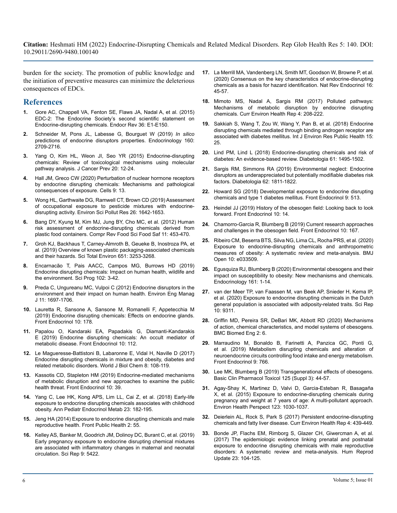burden for the society. The promotion of public knowledge and the initiation of preventive measures can minimize the deleterious consequences of EDCs.

# **References**

- **1.** [Gore AC, Chappell VA, Fenton SE, Flaws JA, Nadal A, et al. \(2015\)](https://academic.oup.com/edrv/article/36/6/E1/2354691) [EDC-2: The Endocrine Society's second scientific statement on](https://academic.oup.com/edrv/article/36/6/E1/2354691)  [Endocrine-disrupting chemicals. Endocr Rev 36: E1-E150.](https://academic.oup.com/edrv/article/36/6/E1/2354691)
- **2.** [Schneider M, Pons JL, Labesse G, Bourguet W \(2019\)](https://pubmed.ncbi.nlm.nih.gov/31265055/) *In silico* [predictions of endocrine disruptors properties. Endocrinology 160:](https://pubmed.ncbi.nlm.nih.gov/31265055/)  [2709-2716.](https://pubmed.ncbi.nlm.nih.gov/31265055/)
- **3.** [Yang O, Kim HL, Weon JI, Seo YR \(2015\) Endocrine-disrupting](https://pubmed.ncbi.nlm.nih.gov/25853100/)  [chemicals: Review of toxicological mechanisms using molecular](https://pubmed.ncbi.nlm.nih.gov/25853100/)  [pathway analysis. J Cancer Prev 20: 12-24.](https://pubmed.ncbi.nlm.nih.gov/25853100/)
- **4.** [Hall JM, Greco CW \(2020\) Perturbation of nuclear hormone receptors](https://pubmed.ncbi.nlm.nih.gov/31861598/)  [by endocrine disrupting chemicals: Mechanisms and pathological](https://pubmed.ncbi.nlm.nih.gov/31861598/)  [consequences of exposure. Cells 9: 13.](https://pubmed.ncbi.nlm.nih.gov/31861598/)
- **5.** [Wong HL, Garthwaite DG, Ramwell CT, Brown CD \(2019\) Assessment](https://pubmed.ncbi.nlm.nih.gov/30448946/)  [of occupational exposure to pesticide mixtures with endocrine](https://pubmed.ncbi.nlm.nih.gov/30448946/)[disrupting activity. Environ Sci Pollut Res 26: 1642-1653.](https://pubmed.ncbi.nlm.nih.gov/30448946/)
- **6.** [Bang DY, Kyung M, Kim MJ, Jung BY, Cho MC, et al. \(2012\) Human](https://ift.onlinelibrary.wiley.com/doi/abs/10.1111/j.1541-4337.2012.00197.x)  [risk assessment of endocrine-disrupting chemicals derived from](https://ift.onlinelibrary.wiley.com/doi/abs/10.1111/j.1541-4337.2012.00197.x)  [plastic food containers. Compr Rev Food Sci Food Saf 11: 453-470.](https://ift.onlinelibrary.wiley.com/doi/abs/10.1111/j.1541-4337.2012.00197.x)
- **7.** [Groh KJ, Backhaus T, Carney-Almroth B, Geueke B, Inostroza PA, et](https://www.sciencedirect.com/science/article/pii/S0048969718338828)  [al. \(2019\) Overview of known plastic packaging-associated chemicals](https://www.sciencedirect.com/science/article/pii/S0048969718338828)  [and their hazards. Sci Total Environ 651: 3253-3268.](https://www.sciencedirect.com/science/article/pii/S0048969718338828)
- **8.** [Encarnacão T, Pais AACC, Campos MG, Burrows HD \(2019\)](https://pubmed.ncbi.nlm.nih.gov/31829784/)  [Endocrine disrupting chemicals: Impact on human health, wildlife and](https://pubmed.ncbi.nlm.nih.gov/31829784/)  [the environment. Sci Prog 102: 3-42.](https://pubmed.ncbi.nlm.nih.gov/31829784/)
- **9.** [Preda C, Ungureanu MC, Vulpoi C \(2012\) Endocrine disruptors in the](https://umfiasi.ro/ro/academic/programe-de-studii/doctorat/Documents/Abilitare/2019/Domeniul Medicina/Conf. Univ. Dr. PREDA Cristina/09.pdf) [environment and their impact on human health. Environ Eng Manag](https://umfiasi.ro/ro/academic/programe-de-studii/doctorat/Documents/Abilitare/2019/Domeniul Medicina/Conf. Univ. Dr. PREDA Cristina/09.pdf)  [J 11: 1697-1706.](https://umfiasi.ro/ro/academic/programe-de-studii/doctorat/Documents/Abilitare/2019/Domeniul Medicina/Conf. Univ. Dr. PREDA Cristina/09.pdf)
- **10.** [Lauretta R, Sansone A, Sansone M, Romanelli F, Appetecchia M](https://pubmed.ncbi.nlm.nih.gov/30984107/)  [\(2019\) Endocrine disrupting chemicals: Effects on endocrine glands.](https://pubmed.ncbi.nlm.nih.gov/30984107/)  [Front Endocrinol 10: 178.](https://pubmed.ncbi.nlm.nih.gov/30984107/)
- **11.** [Papalou O, Kandaraki EA, Papadakis G, Diamanti-Kandarakis](https://www.ncbi.nlm.nih.gov/pmc/articles/PMC6406073/)  [E \(2019\) Endocrine disrupting chemicals: An occult mediator of](https://www.ncbi.nlm.nih.gov/pmc/articles/PMC6406073/)  [metabolic disease. Front Endocrinol 10: 112.](https://www.ncbi.nlm.nih.gov/pmc/articles/PMC6406073/)
- **12.** [Le Magueresse-Battistoni B, Labaronne E, Vidal H, Naville D \(2017\)](https://pubmed.ncbi.nlm.nih.gov/28588754/)  [Endocrine disrupting chemicals in mixture and obesity, diabetes and](https://pubmed.ncbi.nlm.nih.gov/28588754/)  [related metabolic disorders. World J Biol Chem 8: 108-119.](https://pubmed.ncbi.nlm.nih.gov/28588754/)
- **13.** [Kassotis CD, Stapleton HM \(2019\) Endocrine-mediated mechanisms](https://www.frontiersin.org/articles/10.3389/fendo.2019.00039/full)  [of metabolic disruption and new approaches to examine the public](https://www.frontiersin.org/articles/10.3389/fendo.2019.00039/full)  [health threat. Front Endocrinol 10: 39.](https://www.frontiersin.org/articles/10.3389/fendo.2019.00039/full)
- **14.** [Yang C, Lee HK, Kong APS, Lim LL, Cai Z, et al. \(2018\) Early-life](https://pubmed.ncbi.nlm.nih.gov/30599479/)  [exposure to endocrine disrupting chemicals associates with childhood](https://pubmed.ncbi.nlm.nih.gov/30599479/)  [obesity. Ann Pediatr Endocrinol Metab 23: 182-195.](https://pubmed.ncbi.nlm.nih.gov/30599479/)
- **15.** [Jeng HA \(2014\) Exposure to endocrine disrupting chemicals and male](https://www.ncbi.nlm.nih.gov/pmc/articles/PMC4046332/)  [reproductive health. Front Public Health 2: 55.](https://www.ncbi.nlm.nih.gov/pmc/articles/PMC4046332/)
- **16.** [Kelley AS, Banker M, Goodrich JM, Dolinoy DC, Burant C, et al. \(2019\)](https://ocul-gue.primo.exlibrisgroup.com/discovery/openurl?institution=01OCUL_GUE&rfr_id=info:sid%252Fprimo.exlibrisgroup.com-bX-Bx&rfr_id=info:sid%2Fprimo.exlibrisgroup.com-152629933-Bx&rft_val_fmt=info:ofi%2Ffmt:kev:mtx:&rft.epage=5422&rft.volume=9&rft_id=info:doi%2F&rft.isbn_list=&rft.jtitle=Scientific Reports&rft.genre=article&rft.issue=1&rft.auinit1=A&rft.aulast=Kelley&rft.auinit=A S&rft.date=2019-04&rft.eisbn_list=&rft.spage=5422&rft.au=Kelley, Angela S&rft.atitle=Early pregnancy exposure to endocrine disrupting chemical mixtures are associated with inflammatory changes in maternal and neonatal circulation.&rft.issn=2045-2322&rft.eissn=2045-2322&svc_dat=CTO&vid=01OCUL_GUE:GUELPH)  [Early pregnancy exposure to endocrine disrupting chemical mixtures](https://ocul-gue.primo.exlibrisgroup.com/discovery/openurl?institution=01OCUL_GUE&rfr_id=info:sid%252Fprimo.exlibrisgroup.com-bX-Bx&rfr_id=info:sid%2Fprimo.exlibrisgroup.com-152629933-Bx&rft_val_fmt=info:ofi%2Ffmt:kev:mtx:&rft.epage=5422&rft.volume=9&rft_id=info:doi%2F&rft.isbn_list=&rft.jtitle=Scientific Reports&rft.genre=article&rft.issue=1&rft.auinit1=A&rft.aulast=Kelley&rft.auinit=A S&rft.date=2019-04&rft.eisbn_list=&rft.spage=5422&rft.au=Kelley, Angela S&rft.atitle=Early pregnancy exposure to endocrine disrupting chemical mixtures are associated with inflammatory changes in maternal and neonatal circulation.&rft.issn=2045-2322&rft.eissn=2045-2322&svc_dat=CTO&vid=01OCUL_GUE:GUELPH)  [are associated with inflammatory changes in maternal and neonatal](https://ocul-gue.primo.exlibrisgroup.com/discovery/openurl?institution=01OCUL_GUE&rfr_id=info:sid%252Fprimo.exlibrisgroup.com-bX-Bx&rfr_id=info:sid%2Fprimo.exlibrisgroup.com-152629933-Bx&rft_val_fmt=info:ofi%2Ffmt:kev:mtx:&rft.epage=5422&rft.volume=9&rft_id=info:doi%2F&rft.isbn_list=&rft.jtitle=Scientific Reports&rft.genre=article&rft.issue=1&rft.auinit1=A&rft.aulast=Kelley&rft.auinit=A S&rft.date=2019-04&rft.eisbn_list=&rft.spage=5422&rft.au=Kelley, Angela S&rft.atitle=Early pregnancy exposure to endocrine disrupting chemical mixtures are associated with inflammatory changes in maternal and neonatal circulation.&rft.issn=2045-2322&rft.eissn=2045-2322&svc_dat=CTO&vid=01OCUL_GUE:GUELPH)  [circulation. Sci Rep 9: 5422.](https://ocul-gue.primo.exlibrisgroup.com/discovery/openurl?institution=01OCUL_GUE&rfr_id=info:sid%252Fprimo.exlibrisgroup.com-bX-Bx&rfr_id=info:sid%2Fprimo.exlibrisgroup.com-152629933-Bx&rft_val_fmt=info:ofi%2Ffmt:kev:mtx:&rft.epage=5422&rft.volume=9&rft_id=info:doi%2F&rft.isbn_list=&rft.jtitle=Scientific Reports&rft.genre=article&rft.issue=1&rft.auinit1=A&rft.aulast=Kelley&rft.auinit=A S&rft.date=2019-04&rft.eisbn_list=&rft.spage=5422&rft.au=Kelley, Angela S&rft.atitle=Early pregnancy exposure to endocrine disrupting chemical mixtures are associated with inflammatory changes in maternal and neonatal circulation.&rft.issn=2045-2322&rft.eissn=2045-2322&svc_dat=CTO&vid=01OCUL_GUE:GUELPH)
- **17.** [La Merrill MA, Vandenberg LN, Smith MT, Goodson W, Browne P, et al.](https://www.nature.com/articles/s41574-019-0273-8)  [\(2020\) Consensus on the key characteristics of endocrine-disrupting](https://www.nature.com/articles/s41574-019-0273-8)  [chemicals as a basis for hazard identification. Nat Rev Endocrinol 16:](https://www.nature.com/articles/s41574-019-0273-8)  [45-57.](https://www.nature.com/articles/s41574-019-0273-8)
- **18.** [Mimoto MS, Nadal A, Sargis RM \(2017\) Polluted pathways:](https://pubmed.ncbi.nlm.nih.gov/28432637/)  [Mechanisms of metabolic disruption by endocrine disrupting](https://pubmed.ncbi.nlm.nih.gov/28432637/)  [chemicals. Curr Environ Health Rep 4: 208-222.](https://pubmed.ncbi.nlm.nih.gov/28432637/)
- **19.** [Sakkiah S, Wang T, Zou W, Wang Y, Pan B, et al. \(2018\) Endocrine](https://www.ncbi.nlm.nih.gov/pmc/articles/PMC5800125/#:~:text=Dieldrin%2C chlorinated hydrocarbon insecticide%2C acted,the risk of diabetes mellitus.)  [disrupting chemicals mediated through binding androgen receptor are](https://www.ncbi.nlm.nih.gov/pmc/articles/PMC5800125/#:~:text=Dieldrin%2C chlorinated hydrocarbon insecticide%2C acted,the risk of diabetes mellitus.)  [associated with diabetes mellitus. Int J Environ Res Public Health 15:](https://www.ncbi.nlm.nih.gov/pmc/articles/PMC5800125/#:~:text=Dieldrin%2C chlorinated hydrocarbon insecticide%2C acted,the risk of diabetes mellitus.)  [25.](https://www.ncbi.nlm.nih.gov/pmc/articles/PMC5800125/#:~:text=Dieldrin%2C chlorinated hydrocarbon insecticide%2C acted,the risk of diabetes mellitus.)
- **20.** [Lind PM, Lind L \(2018\) Endocrine-disrupting chemicals and risk of](https://pubmed.ncbi.nlm.nih.gov/29744538/) [diabetes: An evidence-based review. Diabetologia 61: 1495-1502.](https://pubmed.ncbi.nlm.nih.gov/29744538/)
- **21.** [Sargis RM, Simmons RA \(2019\) Environmental neglect: Endocrine](https://pubmed.ncbi.nlm.nih.gov/31451869/)  [disruptors as underappreciated but potentially modifiable diabetes risk](https://pubmed.ncbi.nlm.nih.gov/31451869/)  [factors. Diabetologia 62: 1811-1822.](https://pubmed.ncbi.nlm.nih.gov/31451869/)
- **22.** [Howard SG \(2018\) Developmental exposure to endocrine disrupting](https://www.ncbi.nlm.nih.gov/pmc/articles/PMC6129584/#:~:text=Developmental exposure to EDCs can,insulin secretion%2C and disrupting metabolism.)  [chemicals and type 1 diabetes mellitus. Front Endocrinol 9: 513.](https://www.ncbi.nlm.nih.gov/pmc/articles/PMC6129584/#:~:text=Developmental exposure to EDCs can,insulin secretion%2C and disrupting metabolism.)
- **23.** [Heindel JJ \(2019\) History of the obesogen field: Looking back to look](https://www.frontiersin.org/articles/10.3389/fendo.2019.00014/full#:~:text=In 2006 the field of,gain and lead to obesity.)  [forward. Front Endocrinol 10: 14.](https://www.frontiersin.org/articles/10.3389/fendo.2019.00014/full#:~:text=In 2006 the field of,gain and lead to obesity.)
- **24.** [Chamorro-Garcia R, Blumberg B \(2019\) Current research approaches](https://pubmed.ncbi.nlm.nih.gov/30967838/)  [and challenges in the obesogen field. Front Endocrinol 10: 167.](https://pubmed.ncbi.nlm.nih.gov/30967838/)
- **25.** [Ribeiro CM, Beserra BTS, Silva NG, Lima CL, Rocha PRS, et al. \(2020\)](https://pubmed.ncbi.nlm.nih.gov/32565448/#:~:text=Meta%2Danalysis indicated a significant,dichlorophenol and obesity in children)  [Exposure to endocrine-disrupting chemicals and anthropometric](https://pubmed.ncbi.nlm.nih.gov/32565448/#:~:text=Meta%2Danalysis indicated a significant,dichlorophenol and obesity in children)  [measures of obesity: A systematic review and meta-analysis. BMJ](https://pubmed.ncbi.nlm.nih.gov/32565448/#:~:text=Meta%2Danalysis indicated a significant,dichlorophenol and obesity in children) [Open 10: e033509.](https://pubmed.ncbi.nlm.nih.gov/32565448/#:~:text=Meta%2Danalysis indicated a significant,dichlorophenol and obesity in children)
- **26.** [Egusquiza RJ, Blumberg B \(2020\) Environmental obesogens and their](https://academic.oup.com/endo/article/161/3/bqaa024/5739626)  [impact on susceptibility to obesity: New mechanisms and chemicals.](https://academic.oup.com/endo/article/161/3/bqaa024/5739626)  [Endocrinology 161: 1-14.](https://academic.oup.com/endo/article/161/3/bqaa024/5739626)
- **27.** [van der Meer TP, van Faassen M, van Beek AP, Snieder H, Kema IP,](https://www.nature.com/articles/s41598-020-66284-3) [et al. \(2020\) Exposure to endocrine disrupting chemicals in the Dutch](https://www.nature.com/articles/s41598-020-66284-3)  [general population is associated with adiposity-related traits. Sci Rep](https://www.nature.com/articles/s41598-020-66284-3)  [10: 9311.](https://www.nature.com/articles/s41598-020-66284-3)
- **28.** [Griffin MD, Pereira SR, DeBari MK, Abbott RD \(2020\) Mechanisms](https://bmcbiomedeng.biomedcentral.com/articles/10.1186/s42490-020-00040-6#:~:text=Obesogens work through a diverse,gene expression directly %5B6%5D.)  [of action, chemical characteristics, and model systems of obesogens.](https://bmcbiomedeng.biomedcentral.com/articles/10.1186/s42490-020-00040-6#:~:text=Obesogens work through a diverse,gene expression directly %5B6%5D.)  [BMC Biomed Eng 2: 6.](https://bmcbiomedeng.biomedcentral.com/articles/10.1186/s42490-020-00040-6#:~:text=Obesogens work through a diverse,gene expression directly %5B6%5D.)
- **29.** [Marraudino M, Bonaldo B, Farinetti A, Panzica GC, Ponti G,](https://pubmed.ncbi.nlm.nih.gov/30687229/) [et al. \(2019\) Metabolism disrupting chemicals and alteration of](https://pubmed.ncbi.nlm.nih.gov/30687229/) [neuroendocrine circuits controlling food intake and energy metabolism.](https://pubmed.ncbi.nlm.nih.gov/30687229/)  [Front Endocrinol 9: 766.](https://pubmed.ncbi.nlm.nih.gov/30687229/)
- **30.** [Lee MK, Blumberg B \(2019\) Transgenerational effects of obesogens.](https://pubmed.ncbi.nlm.nih.gov/30801972/#:~:text=The environmental obesogen model proposes,vivo either directly or indirectly.)  [Basic Clin Pharmacol Toxicol 125 \(Suppl 3\): 44-57.](https://pubmed.ncbi.nlm.nih.gov/30801972/#:~:text=The environmental obesogen model proposes,vivo either directly or indirectly.)
- **31.** [Agay-Shay K, Martinez D, Valvi D, Garcia-Esteban R, Basagaña](https://pubmed.ncbi.nlm.nih.gov/25956007/)  [X, et al. \(2015\) Exposure to endocrine-disrupting chemicals during](https://pubmed.ncbi.nlm.nih.gov/25956007/)  [pregnancy and weight at 7 years of age: A multi-pollutant approach.](https://pubmed.ncbi.nlm.nih.gov/25956007/)  [Environ Health Perspect 123: 1030-1037.](https://pubmed.ncbi.nlm.nih.gov/25956007/)
- **32.** [Deierlein AL, Rock S, Park S \(2017\) Persistent endocrine-disrupting](https://pubmed.ncbi.nlm.nih.gov/28980219/)  [chemicals and fatty liver disease. Curr Environ Health Rep 4: 439-449.](https://pubmed.ncbi.nlm.nih.gov/28980219/)
- **33.** [Bonde JP, Flachs EM, Rimborg S, Glazer CH, Giwercman A, et al.](https://www.ncbi.nlm.nih.gov/pmc/articles/PMC5155570/)  [\(2017\) The epidemiologic evidence linking prenatal and postnatal](https://www.ncbi.nlm.nih.gov/pmc/articles/PMC5155570/)  [exposure to endocrine disrupting chemicals with male reproductive](https://www.ncbi.nlm.nih.gov/pmc/articles/PMC5155570/)  [disorders: A systematic review and meta-analysis. Hum Reprod](https://www.ncbi.nlm.nih.gov/pmc/articles/PMC5155570/)  [Update 23: 104-125.](https://www.ncbi.nlm.nih.gov/pmc/articles/PMC5155570/)